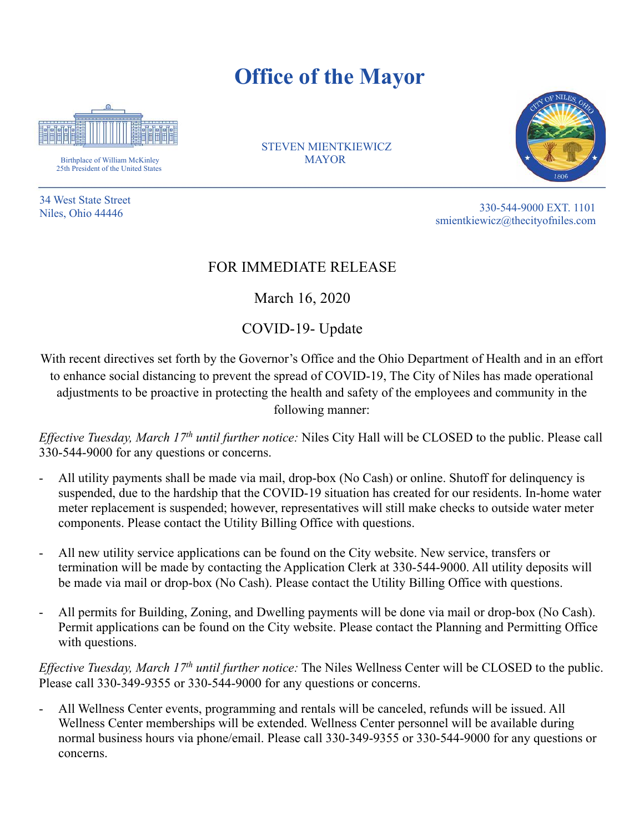## **Office of the Mayor**



Birthplace of William McKinley 25th President of the United States

34 West State Street

**CITY OF STEVEN MIENTKIEWICZ MAYOR** 



330-544-9000 EXT. 1101<br>Niles, Ohio 44446 smientkiewicz@thecityofniles.com

## FOR IMMEDIATE RELEASE

March 16, 2020

COVID-19- Update

With recent directives set forth by the Governor's Office and the Ohio Department of Health and in an effort to enhance social distancing to prevent the spread of COVID-19, The City of Niles has made operational adjustments to be proactive in protecting the health and safety of the employees and community in the following manner:

*Effective Tuesday, March 17th until further notice:* Niles City Hall will be CLOSED to the public. Please call 330-544-9000 for any questions or concerns.

- All utility payments shall be made via mail, drop-box (No Cash) or online. Shutoff for delinquency is suspended, due to the hardship that the COVID-19 situation has created for our residents. In-home water meter replacement is suspended; however, representatives will still make checks to outside water meter components. Please contact the Utility Billing Office with questions.
- All new utility service applications can be found on the City website. New service, transfers or termination will be made by contacting the Application Clerk at 330-544-9000. All utility deposits will be made via mail or drop-box (No Cash). Please contact the Utility Billing Office with questions.
- All permits for Building, Zoning, and Dwelling payments will be done via mail or drop-box (No Cash). Permit applications can be found on the City website. Please contact the Planning and Permitting Office with questions.

*Effective Tuesday, March 17th until further notice:* The Niles Wellness Center will be CLOSED to the public. Please call 330-349-9355 or 330-544-9000 for any questions or concerns.

- All Wellness Center events, programming and rentals will be canceled, refunds will be issued. All Wellness Center memberships will be extended. Wellness Center personnel will be available during normal business hours via phone/email. Please call 330-349-9355 or 330-544-9000 for any questions or concerns.